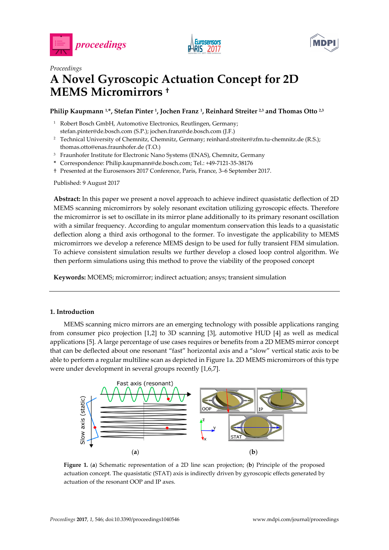





# *Proceedings*  **A Novel Gyroscopic Actuation Concept for 2D MEMS Micromirrors †**

## **Philip Kaupmann 1,\*, Stefan Pinter 1, Jochen Franz 1, Reinhard Streiter 2,3 and Thomas Otto 2,3**

- <sup>1</sup> Robert Bosch GmbH, Automotive Electronics, Reutlingen, Germany; stefan.pinter@de.bosch.com (S.P.); jochen.franz@de.bosch.com (J.F.)
- 2 Technical University of Chemnitz, Chemnitz, Germany; reinhard.streiter@zfm.tu-chemnitz.de (R.S.); thomas.otto@enas.fraunhofer.de (T.O.)
- <sup>3</sup> Fraunhofer Institute for Electronic Nano Systems (ENAS), Chemnitz, Germany
- **\*** Correspondence: Philip.kaupmann@de.bosch.com; Tel.: +49-7121-35-38176
- † Presented at the Eurosensors 2017 Conference, Paris, France, 3–6 September 2017.

Published: 9 August 2017

**Abstract:** In this paper we present a novel approach to achieve indirect quasistatic deflection of 2D MEMS scanning micromirrors by solely resonant excitation utilizing gyroscopic effects. Therefore the micromirror is set to oscillate in its mirror plane additionally to its primary resonant oscillation with a similar frequency. According to angular momentum conservation this leads to a quasistatic deflection along a third axis orthogonal to the former. To investigate the applicability to MEMS micromirrors we develop a reference MEMS design to be used for fully transient FEM simulation. To achieve consistent simulation results we further develop a closed loop control algorithm. We then perform simulations using this method to prove the viability of the proposed concept

**Keywords:** MOEMS; micromirror; indirect actuation; ansys; transient simulation

## **1. Introduction**

MEMS scanning micro mirrors are an emerging technology with possible applications ranging from consumer pico projection [1,2] to 3D scanning [3], automotive HUD [4] as well as medical applications [5]. A large percentage of use cases requires or benefits from a 2D MEMS mirror concept that can be deflected about one resonant "fast" horizontal axis and a "slow" vertical static axis to be able to perform a regular multiline scan as depicted in Figure 1a. 2D MEMS micromirrors of this type were under development in several groups recently [1,6,7].



**Figure 1.** (**a**) Schematic representation of a 2D line scan projection; (**b**) Principle of the proposed actuation concept. The quasistatic (STAT) axis is indirectly driven by gyroscopic effects generated by actuation of the resonant OOP and IP axes.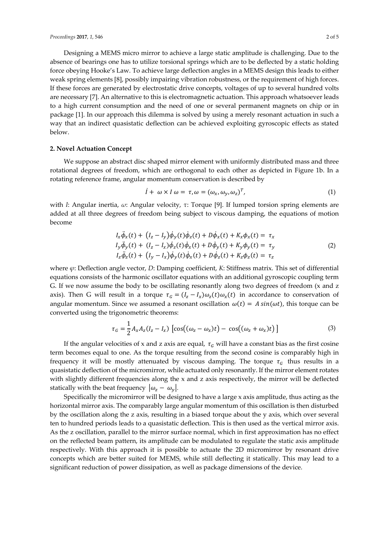Designing a MEMS micro mirror to achieve a large static amplitude is challenging. Due to the absence of bearings one has to utilize torsional springs which are to be deflected by a static holding force obeying Hooke's Law. To achieve large deflection angles in a MEMS design this leads to either weak spring elements [8], possibly impairing vibration robustness, or the requirement of high forces. If these forces are generated by electrostatic drive concepts, voltages of up to several hundred volts are necessary [7]. An alternative to this is electromagnetic actuation. This approach whatsoever leads to a high current consumption and the need of one or several permanent magnets on chip or in package [1]. In our approach this dilemma is solved by using a merely resonant actuation in such a way that an indirect quasistatic deflection can be achieved exploiting gyroscopic effects as stated below.

#### **2. Novel Actuation Concept**

We suppose an abstract disc shaped mirror element with uniformly distributed mass and three rotational degrees of freedom, which are orthogonal to each other as depicted in Figure 1b. In a rotating reference frame, angular momentum conservation is described by

$$
\dot{I} + \omega \times I \omega = \tau, \omega = (\omega_x, \omega_y, \omega_z)^T,
$$
\n(1)

with *I*: Angular inertia, *ω*: Angular velocity, *τ*: Torque [9]. If lumped torsion spring elements are added at all three degrees of freedom being subject to viscous damping, the equations of motion become

$$
I_x \ddot{\phi}_x(t) + (I_z - I_y) \dot{\phi}_y(t) \dot{\phi}_z(t) + D \dot{\phi}_x(t) + K_x \phi_x(t) = \tau_x I_y \ddot{\phi}_y(t) + (I_z - I_x) \dot{\phi}_z(t) \dot{\phi}_x(t) + D \dot{\phi}_y(t) + K_y \phi_y(t) = \tau_y I_z \ddot{\phi}_z(t) + (I_y - I_x) \dot{\phi}_y(t) \dot{\phi}_x(t) + D \dot{\phi}_z(t) + K_z \phi_z(t) = \tau_z
$$
\n(2)

where *ϕ*: Deflection angle vector, *D*: Damping coefficient, *K*: Stiffness matrix. This set of differential equations consists of the harmonic oscillator equations with an additional gyroscopic coupling term G. If we now assume the body to be oscillating resonantly along two degrees of freedom (x and z axis). Then G will result in a torque  $\tau_G = (I_z - I_x)\omega_z(t)\omega_x(t)$  in accordance to conservation of angular momentum. Since we assumed a resonant oscillation  $\omega(t) = A \sin(\omega t)$ , this torque can be converted using the trigonometric theorems:

$$
\tau_G = \frac{1}{2} A_x A_z (I_z - I_x) \left[ \cos((\omega_z - \omega_x)t) - \cos((\omega_z + \omega_x)t) \right]
$$
(3)

If the angular velocities of x and z axis are equal,  $\tau_G$  will have a constant bias as the first cosine term becomes equal to one. As the torque resulting from the second cosine is comparably high in frequency it will be mostly attenuated by viscous damping. The torque  $\tau<sub>G</sub>$  thus results in a quasistatic deflection of the micromirror, while actuated only resonantly. If the mirror element rotates with slightly different frequencies along the x and z axis respectively, the mirror will be deflected statically with the beat frequency  $|\omega_z - \omega_y|$ .

Specifically the micromirror will be designed to have a large x axis amplitude, thus acting as the horizontal mirror axis. The comparably large angular momentum of this oscillation is then disturbed by the oscillation along the z axis, resulting in a biased torque about the y axis, which over several ten to hundred periods leads to a quasistatic deflection. This is then used as the vertical mirror axis. As the z oscillation, parallel to the mirror surface normal, which in first approximation has no effect on the reflected beam pattern, its amplitude can be modulated to regulate the static axis amplitude respectively. With this approach it is possible to actuate the 2D micromirror by resonant drive concepts which are better suited for MEMS, while still deflecting it statically. This may lead to a significant reduction of power dissipation, as well as package dimensions of the device.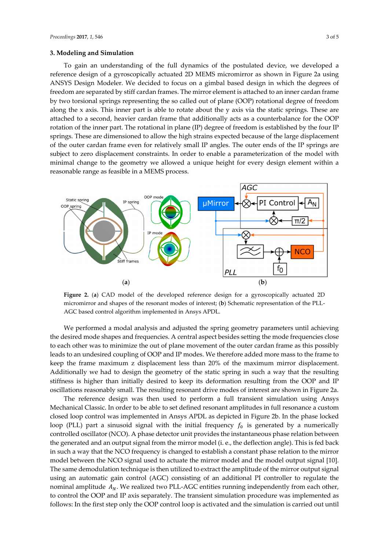#### **3. Modeling and Simulation**

To gain an understanding of the full dynamics of the postulated device, we developed a reference design of a gyroscopically actuated 2D MEMS micromirror as shown in Figure 2a using ANSYS Design Modeler. We decided to focus on a gimbal based design in which the degrees of freedom are separated by stiff cardan frames. The mirror element is attached to an inner cardan frame by two torsional springs representing the so called out of plane (OOP) rotational degree of freedom along the  $x$  axis. This inner part is able to rotate about the  $y$  axis via the static springs. These are attached to a second, heavier cardan frame that additionally acts as a counterbalance for the OOP rotation of the inner part. The rotational in plane (IP) degree of freedom is established by the four IP springs. These are dimensioned to allow the high strains expected because of the large displacement of the outer cardan frame even for relatively small IP angles. The outer ends of the IP springs are subject to zero displacement constraints. In order to enable a parameterization of the model with minimal change to the geometry we allowed a unique height for every design element within a reasonable range as feasible in a MEMS process.



**Figure 2.** (**a**) CAD model of the developed reference design for a gyroscopically actuated 2D micromirror and shapes of the resonant modes of interest; (**b**) Schematic representation of the PLL-AGC based control algorithm implemented in Ansys APDL.

We performed a modal analysis and adjusted the spring geometry parameters until achieving the desired mode shapes and frequencies. A central aspect besides setting the mode frequencies close to each other was to minimize the out of plane movement of the outer cardan frame as this possibly leads to an undesired coupling of OOP and IP modes. We therefore added more mass to the frame to keep the frame maximum z displacement less than 20% of the maximum mirror displacement. Additionally we had to design the geometry of the static spring in such a way that the resulting stiffness is higher than initially desired to keep its deformation resulting from the OOP and IP oscillations reasonably small. The resulting resonant drive modes of interest are shown in Figure 2a.

The reference design was then used to perform a full transient simulation using Ansys Mechanical Classic. In order to be able to set defined resonant amplitudes in full resonance a custom closed loop control was implemented in Ansys APDL as depicted in Figure 2b. In the phase locked loop (PLL) part a sinusoid signal with the initial frequency  $f_0$  is generated by a numerically controlled oscillator (NCO). A phase detector unit provides the instantaneous phase relation between the generated and an output signal from the mirror model (i. e., the deflection angle). This is fed back in such a way that the NCO frequency is changed to establish a constant phase relation to the mirror model between the NCO signal used to actuate the mirror model and the model output signal [10]. The same demodulation technique is then utilized to extract the amplitude of the mirror output signal using an automatic gain control (AGC) consisting of an additional PI controller to regulate the nominal amplitude  $A_N$ . We realized two PLL-AGC entities running independently from each other, to control the OOP and IP axis separately. The transient simulation procedure was implemented as follows: In the first step only the OOP control loop is activated and the simulation is carried out until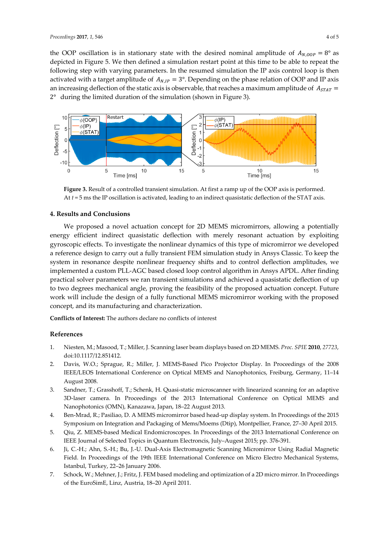the OOP oscillation is in stationary state with the desired nominal amplitude of  $A_{N, QOP} = 8^\circ$  as depicted in Figure 5. We then defined a simulation restart point at this time to be able to repeat the following step with varying parameters. In the resumed simulation the IP axis control loop is then activated with a target amplitude of  $A_{N,IP} = 3^{\circ}$ . Depending on the phase relation of OOP and IP axis an increasing deflection of the static axis is observable, that reaches a maximum amplitude of  $A_{STAT}$  = 2° during the limited duration of the simulation (shown in Figure 3).



Figure 3. Result of a controlled transient simulation. At first a ramp up of the OOP axis is performed. At *t* = 5 ms the IP oscillation is activated, leading to an indirect quasistatic deflection of the STAT axis.

### **4. Results and Conclusions**

We proposed a novel actuation concept for 2D MEMS micromirrors, allowing a potentially energy efficient indirect quasistatic deflection with merely resonant actuation by exploiting gyroscopic effects. To investigate the nonlinear dynamics of this type of micromirror we developed a reference design to carry out a fully transient FEM simulation study in Ansys Classic. To keep the system in resonance despite nonlinear frequency shifts and to control deflection amplitudes, we implemented a custom PLL-AGC based closed loop control algorithm in Ansys APDL. After finding practical solver parameters we ran transient simulations and achieved a quasistatic deflection of up to two degrees mechanical angle, proving the feasibility of the proposed actuation concept. Future work will include the design of a fully functional MEMS micromirror working with the proposed concept, and its manufacturing and characterization.

**Conflicts of Interest:** The authors declare no conflicts of interest

## **References**

- 1. Niesten, M.; Masood, T.; Miller, J. Scanning laser beam displays based on 2D MEMS. *Proc. SPIE* **2010**, *27723*, doi:10.1117/12.851412.
- 2. Davis, W.O.; Sprague, R.; Miller, J. MEMS-Based Pico Projector Display. In Proceedings of the 2008 IEEE/LEOS International Conference on Optical MEMS and Nanophotonics, Freiburg, Germany, 11–14 August 2008.
- 3. Sandner, T.; Grasshoff, T.; Schenk, H. Quasi-static microscanner with linearized scanning for an adaptive 3D-laser camera. In Proceedings of the 2013 International Conference on Optical MEMS and Nanophotonics (OMN), Kanazawa, Japan, 18–22 August 2013.
- 4. Ben-Mrad, R.; Pasiliao, D. A MEMS micromirror based head-up display system. In Proceedings of the 2015 Symposium on Integration and Packaging of Mems/Moems (Dtip), Montpellier, France, 27–30 April 2015.
- 5. Qiu, Z. MEMS-based Medical Endomicroscopes. In Proceedings of the 2013 International Conference on IEEE Journal of Selected Topics in Quantum Electroncis, July–Augest 2015; pp. 376-391.
- 6. Ji, C.-H.; Ahn, S.-H.; Bu, J.-U. Dual-Axis Electromagnetic Scanning Micromirror Using Radial Magnetic Field. In Proceedings of the 19th IEEE International Conference on Micro Electro Mechanical Systems, Istanbul, Turkey, 22–26 January 2006.
- 7. Schock, W.; Mehner, J.; Fritz, J. FEM based modeling and optimization of a 2D micro mirror. In Proceedings of the EuroSimE, Linz, Austria, 18–20 April 2011.